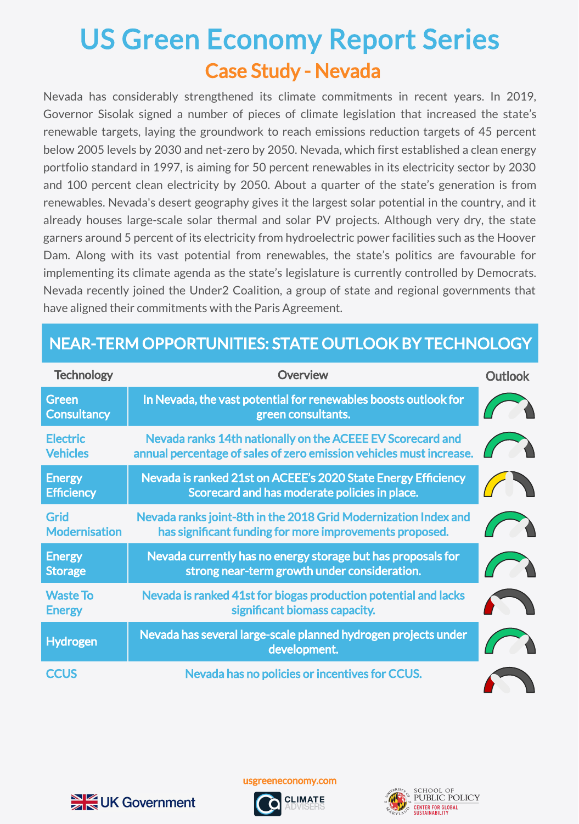## Case Study - Nevada US Green Economy Report Series

Nevada has considerably strengthened its climate commitments in recent years. In 2019, Governor Sisolak signed a number of pieces of climate legislation that increased the state's renewable targets, laying the groundwork to reach emissions reduction targets of 45 percent below 2005 levels by 2030 and net-zero by 2050. Nevada, which first established a clean energy portfolio standard in 1997, is aiming for 50 percent renewables in its electricity sector by 2030 and 100 percent clean electricity by 2050. About a quarter of the state's generation is from renewables. Nevada's desert geography gives it the largest solar potential in the country, and it already houses large-scale solar thermal and solar PV projects. Although very dry, the state garners around 5 percent of its electricity from hydroelectric power facilities such as the Hoover Dam. Along with its vast potential from renewables, the state's politics are favourable for implementing its climate agenda as the state's legislature is currently controlled by Democrats. Nevada recently joined the Under2 Coalition, a group of state and regional governments that have aligned their commitments with the Paris Agreement.

## NEAR-TERM OPPORTUNITIES: STATE OUTLOOK BY TECHNOLOGY

| <b>Technology</b>                   | <b>Overview</b>                                                                                                                   | <b>Outlook</b> |
|-------------------------------------|-----------------------------------------------------------------------------------------------------------------------------------|----------------|
| <b>Green</b><br><b>Consultancy</b>  | In Nevada, the vast potential for renewables boosts outlook for<br>green consultants.                                             |                |
| <b>Electric</b><br><b>Vehicles</b>  | Nevada ranks 14th nationally on the ACEEE EV Scorecard and<br>annual percentage of sales of zero emission vehicles must increase. |                |
| <b>Energy</b><br><b>Efficiency</b>  | Nevada is ranked 21st on ACEEE's 2020 State Energy Efficiency<br>Scorecard and has moderate policies in place.                    |                |
| <b>Grid</b><br><b>Modernisation</b> | Nevada ranks joint-8th in the 2018 Grid Modernization Index and<br>has significant funding for more improvements proposed.        |                |
| <b>Energy</b><br><b>Storage</b>     | Nevada currently has no energy storage but has proposals for<br>strong near-term growth under consideration.                      |                |
| <b>Waste To</b><br><b>Energy</b>    | Nevada is ranked 41st for biogas production potential and lacks<br>significant biomass capacity.                                  |                |
| <b>Hydrogen</b>                     | Nevada has several large-scale planned hydrogen projects under<br>development.                                                    |                |
| <b>CCUS</b>                         | Nevada has no policies or incentives for CCUS.                                                                                    |                |



usgreeneconomy.com